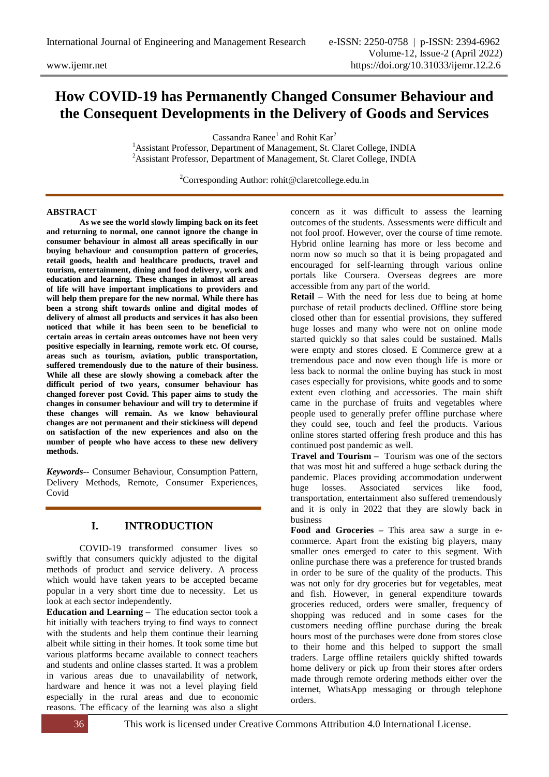# **How COVID-19 has Permanently Changed Consumer Behaviour and the Consequent Developments in the Delivery of Goods and Services**

Cassandra Ranee<sup>1</sup> and Rohit Kar<sup>2</sup>

<sup>1</sup> Assistant Professor, Department of Management, St. Claret College, INDIA <sup>2</sup> Assistant Professor, Department of Management, St. Claret College, INDIA

<sup>2</sup>Corresponding Author: rohit@claretcollege.edu.in

#### **ABSTRACT**

**As we see the world slowly limping back on its feet and returning to normal, one cannot ignore the change in consumer behaviour in almost all areas specifically in our buying behaviour and consumption pattern of groceries, retail goods, health and healthcare products, travel and tourism, entertainment, dining and food delivery, work and education and learning. These changes in almost all areas of life will have important implications to providers and will help them prepare for the new normal. While there has been a strong shift towards online and digital modes of delivery of almost all products and services it has also been noticed that while it has been seen to be beneficial to certain areas in certain areas outcomes have not been very positive especially in learning, remote work etc. Of course, areas such as tourism, aviation, public transportation, suffered tremendously due to the nature of their business. While all these are slowly showing a comeback after the difficult period of two years, consumer behaviour has changed forever post Covid. This paper aims to study the changes in consumer behaviour and will try to determine if these changes will remain. As we know behavioural changes are not permanent and their stickiness will depend on satisfaction of the new experiences and also on the number of people who have access to these new delivery methods.**

*Keywords--* Consumer Behaviour, Consumption Pattern, Delivery Methods, Remote, Consumer Experiences, Covid

## **I. INTRODUCTION**

COVID-19 transformed consumer lives so swiftly that consumers quickly adjusted to the digital methods of product and service delivery. A process which would have taken years to be accepted became popular in a very short time due to necessity. Let us look at each sector independently.

**Education and Learning –** The education sector took a hit initially with teachers trying to find ways to connect with the students and help them continue their learning albeit while sitting in their homes. It took some time but various platforms became available to connect teachers and students and online classes started. It was a problem in various areas due to unavailability of network, hardware and hence it was not a level playing field especially in the rural areas and due to economic reasons. The efficacy of the learning was also a slight

concern as it was difficult to assess the learning outcomes of the students. Assessments were difficult and not fool proof. However, over the course of time remote. Hybrid online learning has more or less become and norm now so much so that it is being propagated and encouraged for self-learning through various online portals like Coursera. Overseas degrees are more accessible from any part of the world.

**Retail –** With the need for less due to being at home purchase of retail products declined. Offline store being closed other than for essential provisions, they suffered huge losses and many who were not on online mode started quickly so that sales could be sustained. Malls were empty and stores closed. E Commerce grew at a tremendous pace and now even though life is more or less back to normal the online buying has stuck in most cases especially for provisions, white goods and to some extent even clothing and accessories. The main shift came in the purchase of fruits and vegetables where people used to generally prefer offline purchase where they could see, touch and feel the products. Various online stores started offering fresh produce and this has continued post pandemic as well.

**Travel and Tourism –** Tourism was one of the sectors that was most hit and suffered a huge setback during the pandemic. Places providing accommodation underwent huge losses. Associated services like food, transportation, entertainment also suffered tremendously and it is only in 2022 that they are slowly back in business

**Food and Groceries –** This area saw a surge in ecommerce. Apart from the existing big players, many smaller ones emerged to cater to this segment. With online purchase there was a preference for trusted brands in order to be sure of the quality of the products. This was not only for dry groceries but for vegetables, meat and fish. However, in general expenditure towards groceries reduced, orders were smaller, frequency of shopping was reduced and in some cases for the customers needing offline purchase during the break hours most of the purchases were done from stores close to their home and this helped to support the small traders. Large offline retailers quickly shifted towards home delivery or pick up from their stores after orders made through remote ordering methods either over the internet, WhatsApp messaging or through telephone orders.